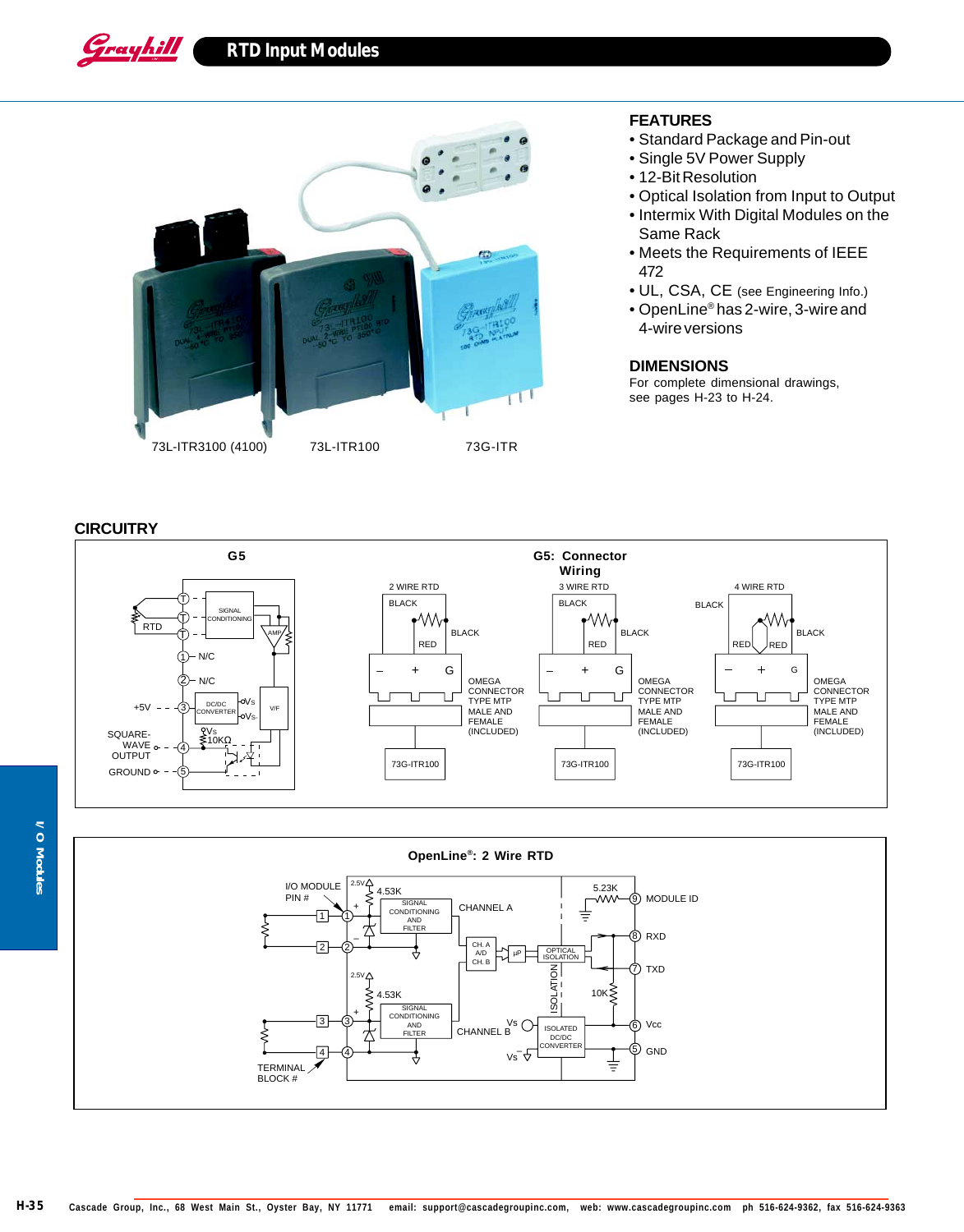

## **FEATURES**

- Standard Package and Pin-out
- Single 5V Power Supply
- 12-Bit Resolution
- Optical Isolation from Input to Output
- Intermix With Digital Modules on the Same Rack
- Meets the Requirements of IEEE 472
- UL, CSA, CE (see Engineering Info.)
- OpenLine® has 2-wire, 3-wire and 4-wire versions

## **DIMENSIONS**

For complete dimensional drawings, see pages H-23 to H-24.

## **CIRCUITRY**

Grayhill





**I/O Modules I/O Modules**